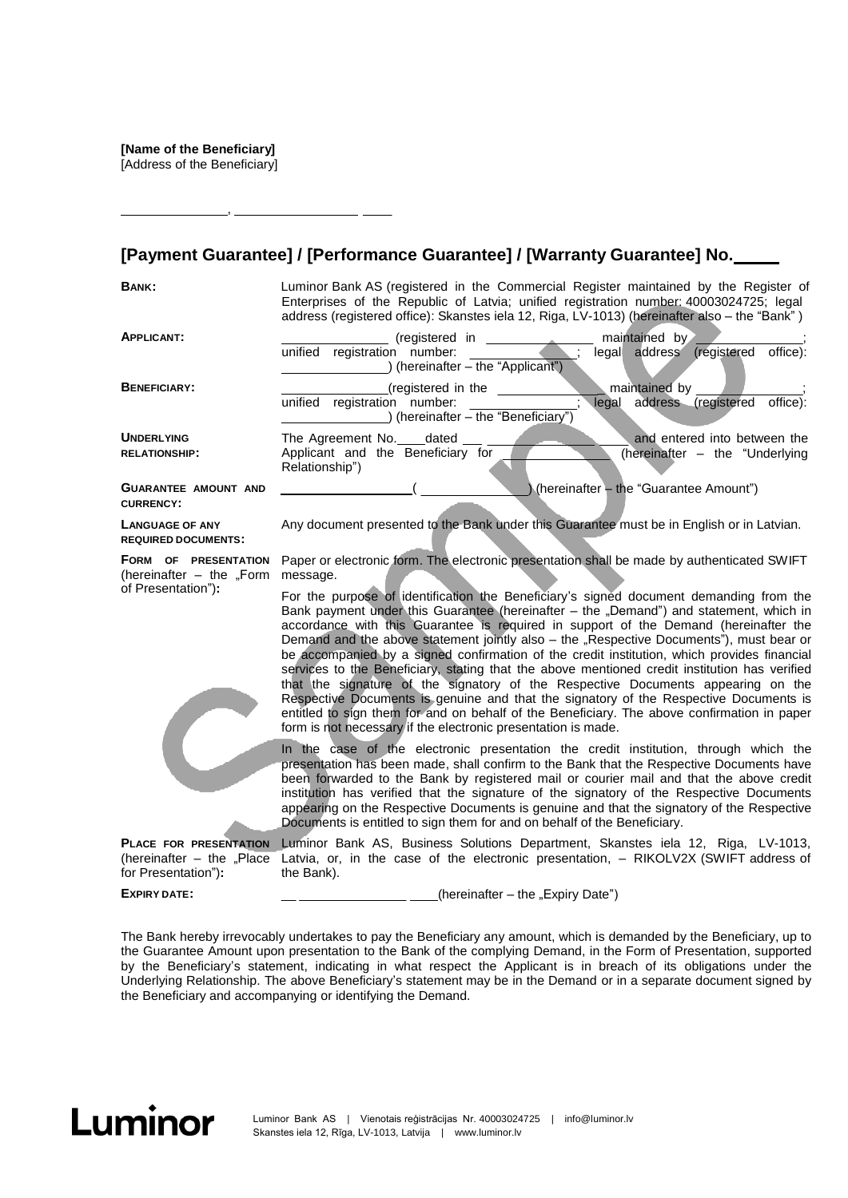[Address of the Beneficiary]

,

## **[Payment Guarantee] / [Performance Guarantee] / [Warranty Guarantee] No.**

**BANK:** Luminor Bank AS (registered in the Commercial Register maintained by the Register of Enterprises of the Republic of Latvia; unified registration number: 40003024725; legal address (registered office): Skanstes iela 12, Riga, LV-1013) (hereinafter also – the "Bank" )

| <b>APPLICANT:</b>           | maintained by<br>(registered in                                                 |                                 |
|-----------------------------|---------------------------------------------------------------------------------|---------------------------------|
|                             | registration number:<br>unified<br>address<br>legal                             | office):<br>(registered         |
|                             | (hereinafter – the "Applicant")                                                 |                                 |
| <b>BENEFICIARY:</b>         | maintained by<br>(registered in the                                             |                                 |
|                             | unified<br>registration number:<br>legal<br>) (hereinafter - the "Beneficiary") | office):<br>address (registered |
| <b>UNDERLYING</b>           | The Agreement No. ____dated                                                     | and entered into between the    |
| <b>RELATIONSHIP:</b>        | Applicant and the Beneficiary for<br>Relationship")                             | (hereinafter – the "Underlying  |
| <b>GUARANTEE AMOUNT AND</b> | (hereinafter - the "Guarantee Amount")                                          |                                 |

**CURRENCY:**

**LANGUAGE OF ANY REQUIRED DOCUMENTS:**

**FORM OF PRESENTATION**  (hereinafter  $-$  the "Form of Presentation")**:**

Paper or electronic form. The electronic presentation shall be made by authenticated SWIFT message.

Any document presented to the Bank under this Guarantee must be in English or in Latvian.

For the purpose of identification the Beneficiary's signed document demanding from the Bank payment under this Guarantee (hereinafter  $-$  the "Demand") and statement, which in accordance with this Guarantee is required in support of the Demand (hereinafter the Demand and the above statement jointly also – the "Respective Documents"), must bear or be accompanied by a signed confirmation of the credit institution, which provides financial services to the Beneficiary, stating that the above mentioned credit institution has verified that the signature of the signatory of the Respective Documents appearing on the Respective Documents is genuine and that the signatory of the Respective Documents is entitled to sign them for and on behalf of the Beneficiary. The above confirmation in paper form is not necessary if the electronic presentation is made.

In the case of the electronic presentation the credit institution, through which the presentation has been made, shall confirm to the Bank that the Respective Documents have been forwarded to the Bank by registered mail or courier mail and that the above credit institution has verified that the signature of the signatory of the Respective Documents appearing on the Respective Documents is genuine and that the signatory of the Respective Documents is entitled to sign them for and on behalf of the Beneficiary.

**PLACE FOR PRESENTATION**  (hereinafter  $-$  the "Place for Presentation")**:** Luminor Bank AS, Business Solutions Department, Skanstes iela 12, Riga, LV-1013, Latvia, or, in the case of the electronic presentation, – RIKOLV2X (SWIFT address of the Bank).

**EXPIRY DATE:**

 $(herenafter - the "Expiry Date")$ 

The Bank hereby irrevocably undertakes to pay the Beneficiary any amount, which is demanded by the Beneficiary, up to the Guarantee Amount upon presentation to the Bank of the complying Demand, in the Form of Presentation, supported by the Beneficiary's statement, indicating in what respect the Applicant is in breach of its obligations under the Underlying Relationship. The above Beneficiary's statement may be in the Demand or in a separate document signed by the Beneficiary and accompanying or identifying the Demand.